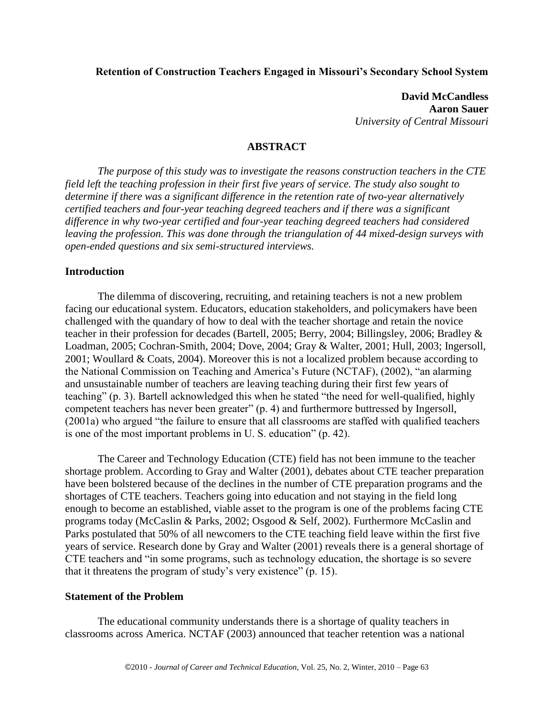## **Retention of Construction Teachers Engaged in Missouri's Secondary School System**

**David McCandless Aaron Sauer** *University of Central Missouri*

#### **ABSTRACT**

*The purpose of this study was to investigate the reasons construction teachers in the CTE field left the teaching profession in their first five years of service. The study also sought to determine if there was a significant difference in the retention rate of two-year alternatively certified teachers and four-year teaching degreed teachers and if there was a significant difference in why two-year certified and four-year teaching degreed teachers had considered leaving the profession. This was done through the triangulation of 44 mixed-design surveys with open-ended questions and six semi-structured interviews.* 

#### **Introduction**

The dilemma of discovering, recruiting, and retaining teachers is not a new problem facing our educational system. Educators, education stakeholders, and policymakers have been challenged with the quandary of how to deal with the teacher shortage and retain the novice teacher in their profession for decades (Bartell, 2005; Berry, 2004; Billingsley, 2006; Bradley & Loadman, 2005; Cochran-Smith, 2004; Dove, 2004; Gray & Walter, 2001; Hull, 2003; Ingersoll, 2001; Woullard & Coats, 2004). Moreover this is not a localized problem because according to the National Commission on Teaching and America's Future (NCTAF), (2002), "an alarming and unsustainable number of teachers are leaving teaching during their first few years of teaching" (p. 3). Bartell acknowledged this when he stated "the need for well-qualified, highly competent teachers has never been greater" (p. 4) and furthermore buttressed by Ingersoll,  $(2001a)$  who argued "the failure to ensure that all classrooms are staffed with qualified teachers is one of the most important problems in U. S. education"  $(p. 42)$ .

The Career and Technology Education (CTE) field has not been immune to the teacher shortage problem. According to Gray and Walter (2001), debates about CTE teacher preparation have been bolstered because of the declines in the number of CTE preparation programs and the shortages of CTE teachers. Teachers going into education and not staying in the field long enough to become an established, viable asset to the program is one of the problems facing CTE programs today (McCaslin & Parks, 2002; Osgood & Self, 2002). Furthermore McCaslin and Parks postulated that 50% of all newcomers to the CTE teaching field leave within the first five years of service. Research done by Gray and Walter (2001) reveals there is a general shortage of CTE teachers and "in some programs, such as technology education, the shortage is so severe that it threatens the program of study's very existence"  $(p. 15)$ .

#### **Statement of the Problem**

The educational community understands there is a shortage of quality teachers in classrooms across America. NCTAF (2003) announced that teacher retention was a national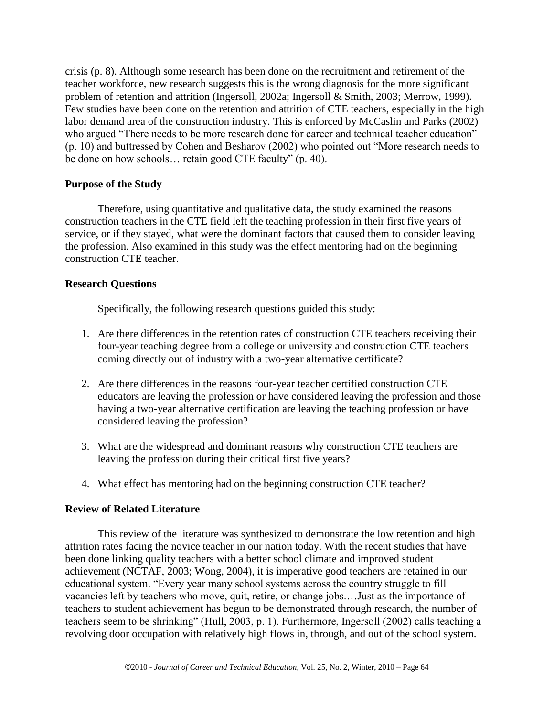crisis (p. 8). Although some research has been done on the recruitment and retirement of the teacher workforce, new research suggests this is the wrong diagnosis for the more significant problem of retention and attrition (Ingersoll, 2002a; Ingersoll & Smith, 2003; Merrow, 1999). Few studies have been done on the retention and attrition of CTE teachers, especially in the high labor demand area of the construction industry. This is enforced by McCaslin and Parks (2002) who argued "There needs to be more research done for career and technical teacher education"  $(p. 10)$  and buttressed by Cohen and Besharov (2002) who pointed out "More research needs to be done on how schools… retain good CTE faculty" (p. 40).

## **Purpose of the Study**

Therefore, using quantitative and qualitative data, the study examined the reasons construction teachers in the CTE field left the teaching profession in their first five years of service, or if they stayed, what were the dominant factors that caused them to consider leaving the profession. Also examined in this study was the effect mentoring had on the beginning construction CTE teacher.

## **Research Questions**

Specifically, the following research questions guided this study:

- 1. Are there differences in the retention rates of construction CTE teachers receiving their four-year teaching degree from a college or university and construction CTE teachers coming directly out of industry with a two-year alternative certificate?
- 2. Are there differences in the reasons four-year teacher certified construction CTE educators are leaving the profession or have considered leaving the profession and those having a two-year alternative certification are leaving the teaching profession or have considered leaving the profession?
- 3. What are the widespread and dominant reasons why construction CTE teachers are leaving the profession during their critical first five years?
- 4. What effect has mentoring had on the beginning construction CTE teacher?

### **Review of Related Literature**

This review of the literature was synthesized to demonstrate the low retention and high attrition rates facing the novice teacher in our nation today. With the recent studies that have been done linking quality teachers with a better school climate and improved student achievement (NCTAF, 2003; Wong, 2004), it is imperative good teachers are retained in our educational system. "Every year many school systems across the country struggle to fill vacancies left by teachers who move, quit, retire, or change jobs.…Just as the importance of teachers to student achievement has begun to be demonstrated through research, the number of teachers seem to be shrinking" (Hull, 2003, p. 1). Furthermore, Ingersoll (2002) calls teaching a revolving door occupation with relatively high flows in, through, and out of the school system.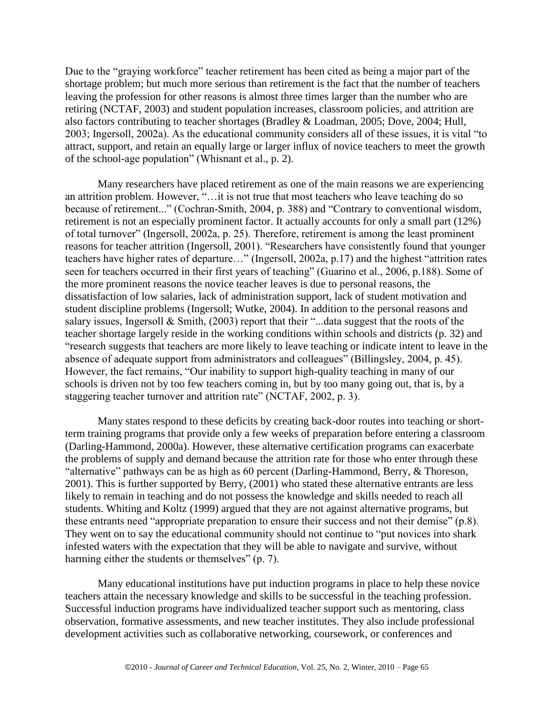Due to the "graying workforce" teacher retirement has been cited as being a major part of the shortage problem; but much more serious than retirement is the fact that the number of teachers leaving the profession for other reasons is almost three times larger than the number who are retiring (NCTAF, 2003) and student population increases, classroom policies, and attrition are also factors contributing to teacher shortages (Bradley & Loadman, 2005; Dove, 2004; Hull, 2003; Ingersoll, 2002a). As the educational community considers all of these issues, it is vital "to attract, support, and retain an equally large or larger influx of novice teachers to meet the growth of the school-age population" (Whisnant et al., p. 2).

Many researchers have placed retirement as one of the main reasons we are experiencing an attrition problem. However, "... it is not true that most teachers who leave teaching do so because of retirement..." (Cochran-Smith, 2004, p. 388) and "Contrary to conventional wisdom, retirement is not an especially prominent factor. It actually accounts for only a small part (12%) of total turnover" (Ingersoll, 2002a, p. 25). Therefore, retirement is among the least prominent reasons for teacher attrition (Ingersoll, 2001). "Researchers have consistently found that younger teachers have higher rates of departure…" (Ingersoll, 2002a, p.17) and the highest "attrition rates seen for teachers occurred in their first years of teaching" (Guarino et al., 2006, p.188). Some of the more prominent reasons the novice teacher leaves is due to personal reasons, the dissatisfaction of low salaries, lack of administration support, lack of student motivation and student discipline problems (Ingersoll; Wutke, 2004). In addition to the personal reasons and salary issues, Ingersoll & Smith,  $(2003)$  report that their "...data suggest that the roots of the teacher shortage largely reside in the working conditions within schools and districts (p. 32) and ―research suggests that teachers are more likely to leave teaching or indicate intent to leave in the absence of adequate support from administrators and colleagues" (Billingsley, 2004, p. 45). However, the fact remains, "Our inability to support high-quality teaching in many of our schools is driven not by too few teachers coming in, but by too many going out, that is, by a staggering teacher turnover and attrition rate" (NCTAF, 2002, p. 3).

Many states respond to these deficits by creating back-door routes into teaching or shortterm training programs that provide only a few weeks of preparation before entering a classroom (Darling-Hammond, 2000a). However, these alternative certification programs can exacerbate the problems of supply and demand because the attrition rate for those who enter through these "alternative" pathways can be as high as 60 percent (Darling-Hammond, Berry,  $&$  Thoreson, 2001). This is further supported by Berry, (2001) who stated these alternative entrants are less likely to remain in teaching and do not possess the knowledge and skills needed to reach all students. Whiting and Koltz (1999) argued that they are not against alternative programs, but these entrants need "appropriate preparation to ensure their success and not their demise"  $(p.8)$ . They went on to say the educational community should not continue to "put novices into shark" infested waters with the expectation that they will be able to navigate and survive, without harming either the students or themselves" (p. 7).

Many educational institutions have put induction programs in place to help these novice teachers attain the necessary knowledge and skills to be successful in the teaching profession. Successful induction programs have individualized teacher support such as mentoring, class observation, formative assessments, and new teacher institutes. They also include professional development activities such as collaborative networking, coursework, or conferences and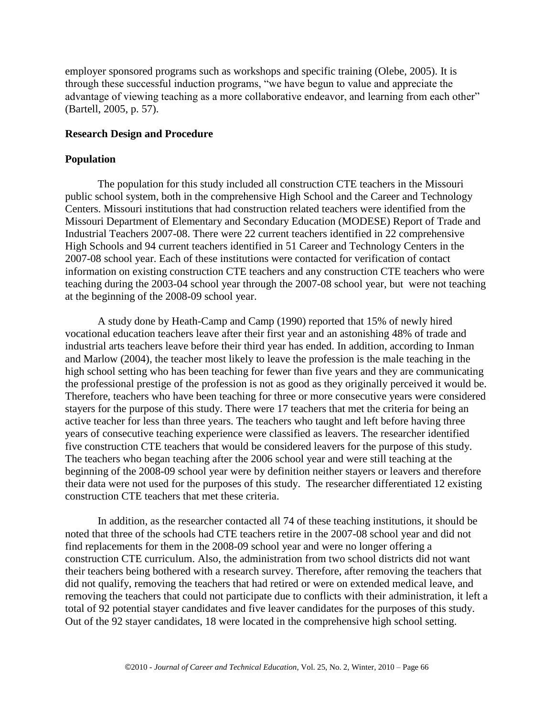employer sponsored programs such as workshops and specific training (Olebe, 2005). It is through these successful induction programs, "we have begun to value and appreciate the advantage of viewing teaching as a more collaborative endeavor, and learning from each other" (Bartell, 2005, p. 57).

# **Research Design and Procedure**

# **Population**

The population for this study included all construction CTE teachers in the Missouri public school system, both in the comprehensive High School and the Career and Technology Centers. Missouri institutions that had construction related teachers were identified from the Missouri Department of Elementary and Secondary Education (MODESE) Report of Trade and Industrial Teachers 2007-08. There were 22 current teachers identified in 22 comprehensive High Schools and 94 current teachers identified in 51 Career and Technology Centers in the 2007-08 school year. Each of these institutions were contacted for verification of contact information on existing construction CTE teachers and any construction CTE teachers who were teaching during the 2003-04 school year through the 2007-08 school year, but were not teaching at the beginning of the 2008-09 school year.

A study done by Heath-Camp and Camp (1990) reported that 15% of newly hired vocational education teachers leave after their first year and an astonishing 48% of trade and industrial arts teachers leave before their third year has ended. In addition, according to Inman and Marlow (2004), the teacher most likely to leave the profession is the male teaching in the high school setting who has been teaching for fewer than five years and they are communicating the professional prestige of the profession is not as good as they originally perceived it would be. Therefore, teachers who have been teaching for three or more consecutive years were considered stayers for the purpose of this study. There were 17 teachers that met the criteria for being an active teacher for less than three years. The teachers who taught and left before having three years of consecutive teaching experience were classified as leavers. The researcher identified five construction CTE teachers that would be considered leavers for the purpose of this study. The teachers who began teaching after the 2006 school year and were still teaching at the beginning of the 2008-09 school year were by definition neither stayers or leavers and therefore their data were not used for the purposes of this study. The researcher differentiated 12 existing construction CTE teachers that met these criteria.

In addition, as the researcher contacted all 74 of these teaching institutions, it should be noted that three of the schools had CTE teachers retire in the 2007-08 school year and did not find replacements for them in the 2008-09 school year and were no longer offering a construction CTE curriculum. Also, the administration from two school districts did not want their teachers being bothered with a research survey. Therefore, after removing the teachers that did not qualify, removing the teachers that had retired or were on extended medical leave, and removing the teachers that could not participate due to conflicts with their administration, it left a total of 92 potential stayer candidates and five leaver candidates for the purposes of this study. Out of the 92 stayer candidates, 18 were located in the comprehensive high school setting.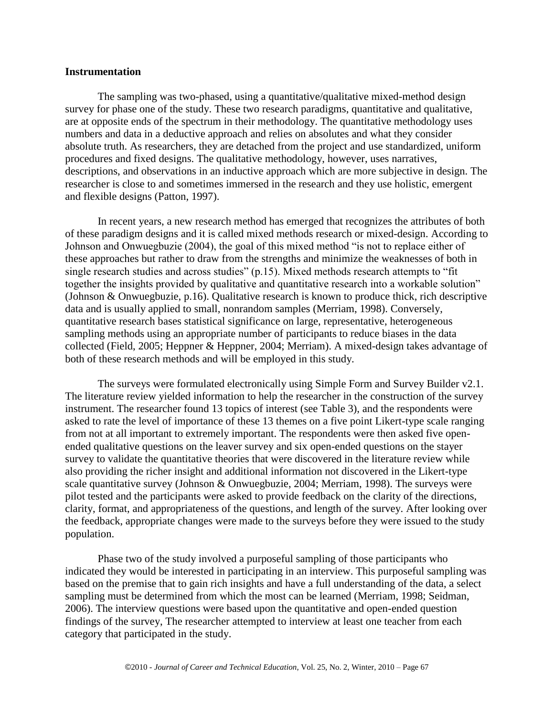#### **Instrumentation**

The sampling was two-phased, using a quantitative/qualitative mixed-method design survey for phase one of the study. These two research paradigms, quantitative and qualitative, are at opposite ends of the spectrum in their methodology. The quantitative methodology uses numbers and data in a deductive approach and relies on absolutes and what they consider absolute truth. As researchers, they are detached from the project and use standardized, uniform procedures and fixed designs. The qualitative methodology, however, uses narratives, descriptions, and observations in an inductive approach which are more subjective in design. The researcher is close to and sometimes immersed in the research and they use holistic, emergent and flexible designs (Patton, 1997).

In recent years, a new research method has emerged that recognizes the attributes of both of these paradigm designs and it is called mixed methods research or mixed-design. According to Johnson and Onwuegbuzie (2004), the goal of this mixed method "is not to replace either of these approaches but rather to draw from the strengths and minimize the weaknesses of both in single research studies and across studies"  $(p.15)$ . Mixed methods research attempts to "fit together the insights provided by qualitative and quantitative research into a workable solution" (Johnson & Onwuegbuzie, p.16). Qualitative research is known to produce thick, rich descriptive data and is usually applied to small, nonrandom samples (Merriam, 1998). Conversely, quantitative research bases statistical significance on large, representative, heterogeneous sampling methods using an appropriate number of participants to reduce biases in the data collected (Field, 2005; Heppner & Heppner, 2004; Merriam). A mixed-design takes advantage of both of these research methods and will be employed in this study.

The surveys were formulated electronically using Simple Form and Survey Builder v2.1. The literature review yielded information to help the researcher in the construction of the survey instrument. The researcher found 13 topics of interest (see Table 3), and the respondents were asked to rate the level of importance of these 13 themes on a five point Likert-type scale ranging from not at all important to extremely important. The respondents were then asked five openended qualitative questions on the leaver survey and six open-ended questions on the stayer survey to validate the quantitative theories that were discovered in the literature review while also providing the richer insight and additional information not discovered in the Likert-type scale quantitative survey (Johnson & Onwuegbuzie, 2004; Merriam, 1998). The surveys were pilot tested and the participants were asked to provide feedback on the clarity of the directions, clarity, format, and appropriateness of the questions, and length of the survey. After looking over the feedback, appropriate changes were made to the surveys before they were issued to the study population.

Phase two of the study involved a purposeful sampling of those participants who indicated they would be interested in participating in an interview. This purposeful sampling was based on the premise that to gain rich insights and have a full understanding of the data, a select sampling must be determined from which the most can be learned (Merriam, 1998; Seidman, 2006). The interview questions were based upon the quantitative and open-ended question findings of the survey, The researcher attempted to interview at least one teacher from each category that participated in the study.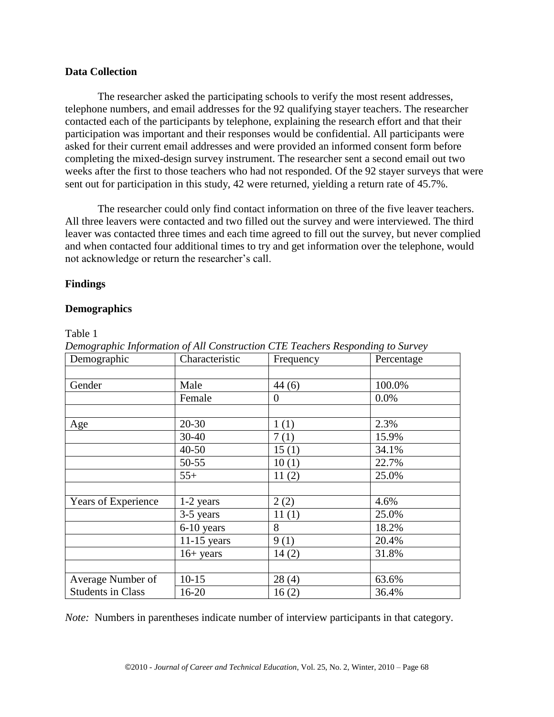## **Data Collection**

The researcher asked the participating schools to verify the most resent addresses, telephone numbers, and email addresses for the 92 qualifying stayer teachers. The researcher contacted each of the participants by telephone, explaining the research effort and that their participation was important and their responses would be confidential. All participants were asked for their current email addresses and were provided an informed consent form before completing the mixed-design survey instrument. The researcher sent a second email out two weeks after the first to those teachers who had not responded. Of the 92 stayer surveys that were sent out for participation in this study, 42 were returned, yielding a return rate of 45.7%.

The researcher could only find contact information on three of the five leaver teachers. All three leavers were contacted and two filled out the survey and were interviewed. The third leaver was contacted three times and each time agreed to fill out the survey, but never complied and when contacted four additional times to try and get information over the telephone, would not acknowledge or return the researcher's call.

## **Findings**

## **Demographics**

Table 1

| Demographic              | Characteristic | Frequency | Percentage |
|--------------------------|----------------|-----------|------------|
|                          |                |           |            |
| Gender                   | Male           | 44(6)     | 100.0%     |
|                          | Female         | $\theta$  | 0.0%       |
|                          | $20 - 30$      |           |            |
| Age                      |                | 1(1)      | 2.3%       |
|                          | 30-40          | 7(1)      | 15.9%      |
|                          | $40 - 50$      | 15(1)     | 34.1%      |
|                          | 50-55          | 10(1)     | 22.7%      |
|                          | $55+$          | 11(2)     | 25.0%      |
|                          |                |           |            |
| Years of Experience      | 1-2 years      | 2(2)      | 4.6%       |
|                          | 3-5 years      | 11(1)     | 25.0%      |
|                          | 6-10 years     | 8         | 18.2%      |
|                          | $11-15$ years  | 9(1)      | 20.4%      |
|                          | $16+ years$    | 14(2)     | 31.8%      |
|                          |                |           |            |
| Average Number of        | $10-15$        | 28(4)     | 63.6%      |
| <b>Students in Class</b> | $16 - 20$      | 16(2)     | 36.4%      |

*Demographic Information of All Construction CTE Teachers Responding to Survey*

*Note:* Numbers in parentheses indicate number of interview participants in that category.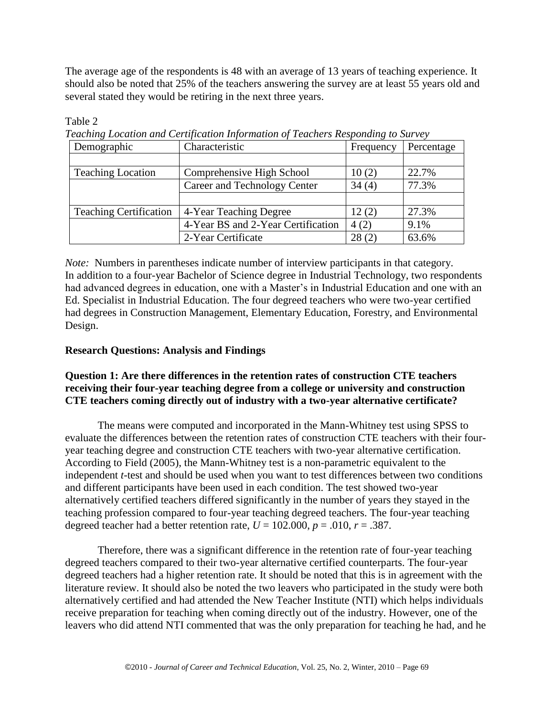The average age of the respondents is 48 with an average of 13 years of teaching experience. It should also be noted that 25% of the teachers answering the survey are at least 55 years old and several stated they would be retiring in the next three years.

| Demographic                   | Characteristic                     | Frequency | Percentage |
|-------------------------------|------------------------------------|-----------|------------|
|                               |                                    |           |            |
| <b>Teaching Location</b>      | Comprehensive High School          | 10(2)     | 22.7%      |
|                               | Career and Technology Center       | 34(4)     | 77.3%      |
|                               |                                    |           |            |
| <b>Teaching Certification</b> | 4-Year Teaching Degree             | 12(2)     | 27.3%      |
|                               | 4-Year BS and 2-Year Certification | 4(2)      | 9.1%       |
|                               | 2-Year Certificate                 | 28(2)     | 63.6%      |

Table 2

*Teaching Location and Certification Information of Teachers Responding to Survey*

*Note:* Numbers in parentheses indicate number of interview participants in that category. In addition to a four-year Bachelor of Science degree in Industrial Technology, two respondents had advanced degrees in education, one with a Master's in Industrial Education and one with an Ed. Specialist in Industrial Education. The four degreed teachers who were two-year certified had degrees in Construction Management, Elementary Education, Forestry, and Environmental Design.

# **Research Questions: Analysis and Findings**

# **Question 1: Are there differences in the retention rates of construction CTE teachers receiving their four-year teaching degree from a college or university and construction CTE teachers coming directly out of industry with a two-year alternative certificate?**

The means were computed and incorporated in the Mann-Whitney test using SPSS to evaluate the differences between the retention rates of construction CTE teachers with their fouryear teaching degree and construction CTE teachers with two-year alternative certification. According to Field (2005), the Mann-Whitney test is a non-parametric equivalent to the independent *t-*test and should be used when you want to test differences between two conditions and different participants have been used in each condition. The test showed two-year alternatively certified teachers differed significantly in the number of years they stayed in the teaching profession compared to four-year teaching degreed teachers. The four-year teaching degreed teacher had a better retention rate,  $U = 102.000$ ,  $p = .010$ ,  $r = .387$ .

Therefore, there was a significant difference in the retention rate of four-year teaching degreed teachers compared to their two-year alternative certified counterparts. The four-year degreed teachers had a higher retention rate. It should be noted that this is in agreement with the literature review. It should also be noted the two leavers who participated in the study were both alternatively certified and had attended the New Teacher Institute (NTI) which helps individuals receive preparation for teaching when coming directly out of the industry. However, one of the leavers who did attend NTI commented that was the only preparation for teaching he had, and he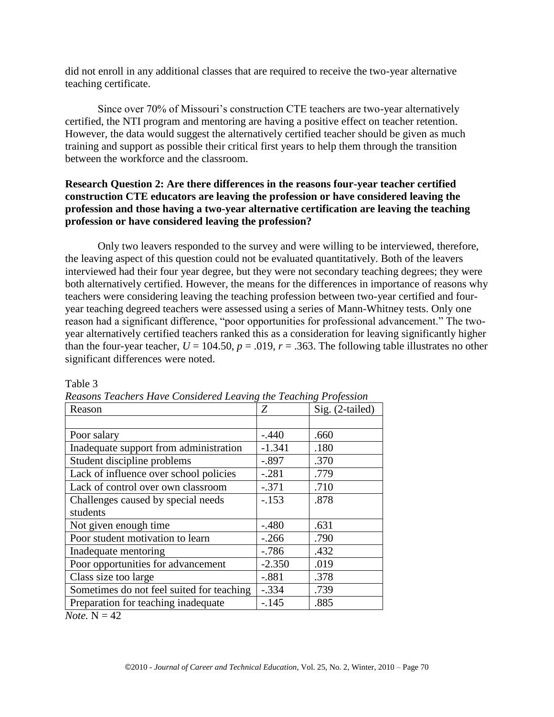did not enroll in any additional classes that are required to receive the two-year alternative teaching certificate.

Since over 70% of Missouri's construction CTE teachers are two-year alternatively certified, the NTI program and mentoring are having a positive effect on teacher retention. However, the data would suggest the alternatively certified teacher should be given as much training and support as possible their critical first years to help them through the transition between the workforce and the classroom.

# **Research Question 2: Are there differences in the reasons four-year teacher certified construction CTE educators are leaving the profession or have considered leaving the profession and those having a two-year alternative certification are leaving the teaching profession or have considered leaving the profession?**

Only two leavers responded to the survey and were willing to be interviewed, therefore, the leaving aspect of this question could not be evaluated quantitatively. Both of the leavers interviewed had their four year degree, but they were not secondary teaching degrees; they were both alternatively certified. However, the means for the differences in importance of reasons why teachers were considering leaving the teaching profession between two-year certified and fouryear teaching degreed teachers were assessed using a series of Mann-Whitney tests. Only one reason had a significant difference, "poor opportunities for professional advancement." The twoyear alternatively certified teachers ranked this as a consideration for leaving significantly higher than the four-year teacher,  $U = 104.50$ ,  $p = .019$ ,  $r = .363$ . The following table illustrates no other significant differences were noted.

| Reason                                    | Ζ        | Sig. (2-tailed) |
|-------------------------------------------|----------|-----------------|
|                                           |          |                 |
| Poor salary                               | $-.440$  | .660            |
| Inadequate support from administration    | $-1.341$ | .180            |
| Student discipline problems               | $-.897$  | .370            |
| Lack of influence over school policies    | $-.281$  | .779            |
| Lack of control over own classroom        | $-.371$  | .710            |
| Challenges caused by special needs        | $-.153$  | .878            |
| students                                  |          |                 |
| Not given enough time                     | $-.480$  | .631            |
| Poor student motivation to learn          | $-.266$  | .790            |
| Inadequate mentoring                      | $-786$   | .432            |
| Poor opportunities for advancement        | $-2.350$ | .019            |
| Class size too large                      | $-.881$  | .378            |
| Sometimes do not feel suited for teaching | $-.334$  | .739            |
| Preparation for teaching inadequate       | $-.145$  | .885            |

Table 3

|  |  | Reasons Teachers Have Considered Leaving the Teaching Profession |  |
|--|--|------------------------------------------------------------------|--|

*Note.*  $N = 42$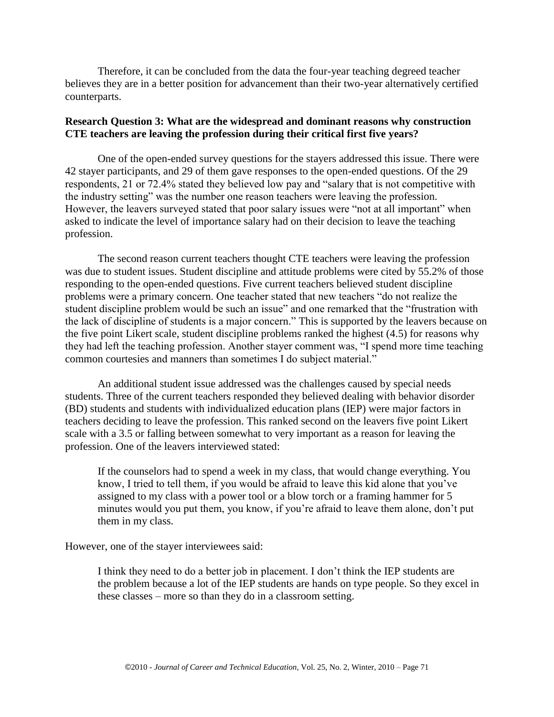Therefore, it can be concluded from the data the four-year teaching degreed teacher believes they are in a better position for advancement than their two-year alternatively certified counterparts.

## **Research Question 3: What are the widespread and dominant reasons why construction CTE teachers are leaving the profession during their critical first five years?**

One of the open-ended survey questions for the stayers addressed this issue. There were 42 stayer participants, and 29 of them gave responses to the open-ended questions. Of the 29 respondents, 21 or 72.4% stated they believed low pay and "salary that is not competitive with the industry setting" was the number one reason teachers were leaving the profession. However, the leavers surveyed stated that poor salary issues were "not at all important" when asked to indicate the level of importance salary had on their decision to leave the teaching profession.

The second reason current teachers thought CTE teachers were leaving the profession was due to student issues. Student discipline and attitude problems were cited by 55.2% of those responding to the open-ended questions. Five current teachers believed student discipline problems were a primary concern. One teacher stated that new teachers "do not realize the student discipline problem would be such an issue" and one remarked that the "frustration with the lack of discipline of students is a major concern." This is supported by the leavers because on the five point Likert scale, student discipline problems ranked the highest (4.5) for reasons why they had left the teaching profession. Another stayer comment was, "I spend more time teaching common courtesies and manners than sometimes I do subject material."

An additional student issue addressed was the challenges caused by special needs students. Three of the current teachers responded they believed dealing with behavior disorder (BD) students and students with individualized education plans (IEP) were major factors in teachers deciding to leave the profession. This ranked second on the leavers five point Likert scale with a 3.5 or falling between somewhat to very important as a reason for leaving the profession. One of the leavers interviewed stated:

If the counselors had to spend a week in my class, that would change everything. You know, I tried to tell them, if you would be afraid to leave this kid alone that you've assigned to my class with a power tool or a blow torch or a framing hammer for 5 minutes would you put them, you know, if you're afraid to leave them alone, don't put them in my class.

However, one of the stayer interviewees said:

I think they need to do a better job in placement. I don't think the IEP students are the problem because a lot of the IEP students are hands on type people. So they excel in these classes – more so than they do in a classroom setting.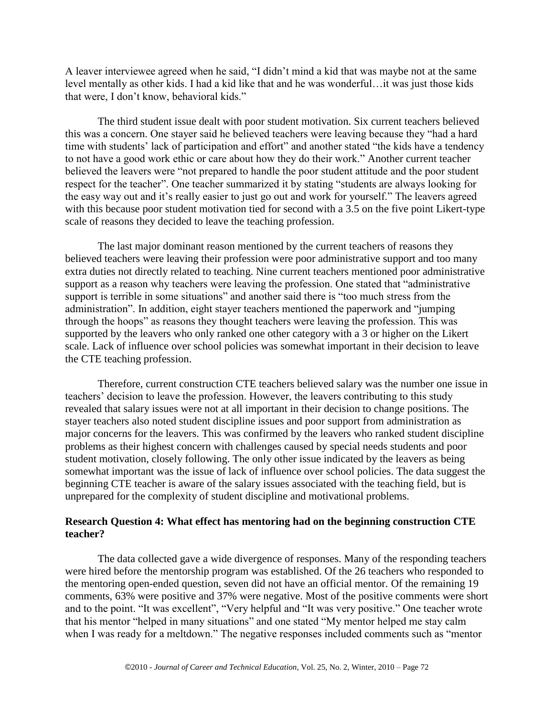A leaver interviewee agreed when he said, "I didn't mind a kid that was maybe not at the same level mentally as other kids. I had a kid like that and he was wonderful…it was just those kids that were, I don't know, behavioral kids."

The third student issue dealt with poor student motivation. Six current teachers believed this was a concern. One stayer said he believed teachers were leaving because they "had a hard time with students' lack of participation and effort" and another stated "the kids have a tendency to not have a good work ethic or care about how they do their work." Another current teacher believed the leavers were "not prepared to handle the poor student attitude and the poor student respect for the teacher". One teacher summarized it by stating "students are always looking for the easy way out and it's really easier to just go out and work for yourself." The leavers agreed with this because poor student motivation tied for second with a 3.5 on the five point Likert-type scale of reasons they decided to leave the teaching profession.

The last major dominant reason mentioned by the current teachers of reasons they believed teachers were leaving their profession were poor administrative support and too many extra duties not directly related to teaching. Nine current teachers mentioned poor administrative support as a reason why teachers were leaving the profession. One stated that "administrative" support is terrible in some situations" and another said there is "too much stress from the administration". In addition, eight stayer teachers mentioned the paperwork and "jumping through the hoops" as reasons they thought teachers were leaving the profession. This was supported by the leavers who only ranked one other category with a 3 or higher on the Likert scale. Lack of influence over school policies was somewhat important in their decision to leave the CTE teaching profession.

Therefore, current construction CTE teachers believed salary was the number one issue in teachers' decision to leave the profession. However, the leavers contributing to this study revealed that salary issues were not at all important in their decision to change positions. The stayer teachers also noted student discipline issues and poor support from administration as major concerns for the leavers. This was confirmed by the leavers who ranked student discipline problems as their highest concern with challenges caused by special needs students and poor student motivation, closely following. The only other issue indicated by the leavers as being somewhat important was the issue of lack of influence over school policies. The data suggest the beginning CTE teacher is aware of the salary issues associated with the teaching field, but is unprepared for the complexity of student discipline and motivational problems.

## **Research Question 4: What effect has mentoring had on the beginning construction CTE teacher?**

The data collected gave a wide divergence of responses. Many of the responding teachers were hired before the mentorship program was established. Of the 26 teachers who responded to the mentoring open-ended question, seven did not have an official mentor. Of the remaining 19 comments, 63% were positive and 37% were negative. Most of the positive comments were short and to the point. "It was excellent", "Very helpful and "It was very positive." One teacher wrote that his mentor "helped in many situations" and one stated "My mentor helped me stay calm when I was ready for a meltdown." The negative responses included comments such as "mentor"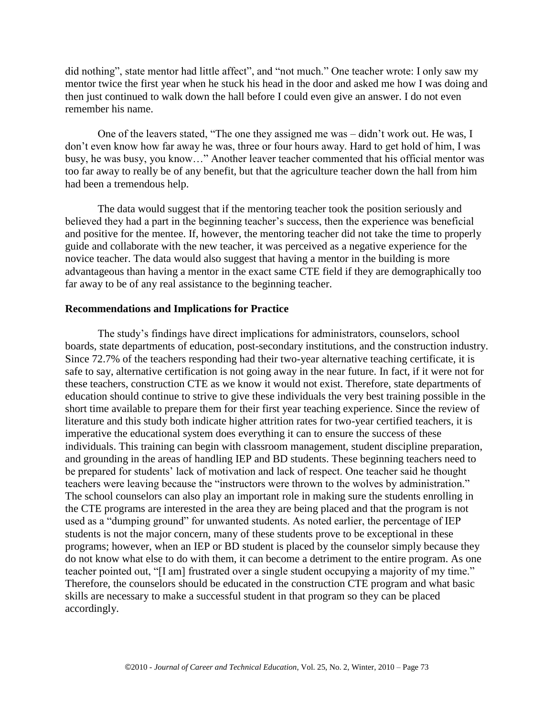did nothing", state mentor had little affect", and "not much." One teacher wrote: I only saw my mentor twice the first year when he stuck his head in the door and asked me how I was doing and then just continued to walk down the hall before I could even give an answer. I do not even remember his name.

One of the leavers stated, "The one they assigned me was – didn't work out. He was, I don't even know how far away he was, three or four hours away. Hard to get hold of him, I was busy, he was busy, you know..." Another leaver teacher commented that his official mentor was too far away to really be of any benefit, but that the agriculture teacher down the hall from him had been a tremendous help.

The data would suggest that if the mentoring teacher took the position seriously and believed they had a part in the beginning teacher's success, then the experience was beneficial and positive for the mentee. If, however, the mentoring teacher did not take the time to properly guide and collaborate with the new teacher, it was perceived as a negative experience for the novice teacher. The data would also suggest that having a mentor in the building is more advantageous than having a mentor in the exact same CTE field if they are demographically too far away to be of any real assistance to the beginning teacher.

#### **Recommendations and Implications for Practice**

The study's findings have direct implications for administrators, counselors, school boards, state departments of education, post-secondary institutions, and the construction industry. Since 72.7% of the teachers responding had their two-year alternative teaching certificate, it is safe to say, alternative certification is not going away in the near future. In fact, if it were not for these teachers, construction CTE as we know it would not exist. Therefore, state departments of education should continue to strive to give these individuals the very best training possible in the short time available to prepare them for their first year teaching experience. Since the review of literature and this study both indicate higher attrition rates for two-year certified teachers, it is imperative the educational system does everything it can to ensure the success of these individuals. This training can begin with classroom management, student discipline preparation, and grounding in the areas of handling IEP and BD students. These beginning teachers need to be prepared for students' lack of motivation and lack of respect. One teacher said he thought teachers were leaving because the "instructors were thrown to the wolves by administration." The school counselors can also play an important role in making sure the students enrolling in the CTE programs are interested in the area they are being placed and that the program is not used as a "dumping ground" for unwanted students. As noted earlier, the percentage of IEP students is not the major concern, many of these students prove to be exceptional in these programs; however, when an IEP or BD student is placed by the counselor simply because they do not know what else to do with them, it can become a detriment to the entire program. As one teacher pointed out, "[I am] frustrated over a single student occupying a majority of my time." Therefore, the counselors should be educated in the construction CTE program and what basic skills are necessary to make a successful student in that program so they can be placed accordingly.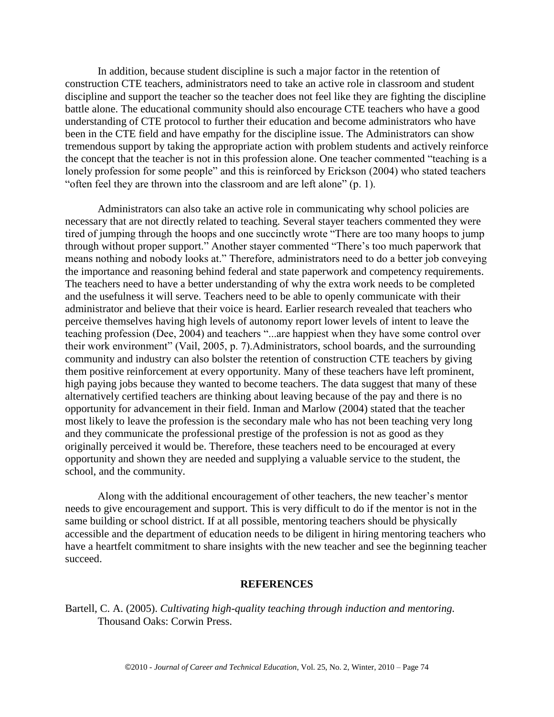In addition, because student discipline is such a major factor in the retention of construction CTE teachers, administrators need to take an active role in classroom and student discipline and support the teacher so the teacher does not feel like they are fighting the discipline battle alone. The educational community should also encourage CTE teachers who have a good understanding of CTE protocol to further their education and become administrators who have been in the CTE field and have empathy for the discipline issue. The Administrators can show tremendous support by taking the appropriate action with problem students and actively reinforce the concept that the teacher is not in this profession alone. One teacher commented "teaching is a lonely profession for some people" and this is reinforced by Erickson (2004) who stated teachers " often feel they are thrown into the classroom and are left alone"  $(p. 1)$ .

Administrators can also take an active role in communicating why school policies are necessary that are not directly related to teaching. Several stayer teachers commented they were tired of jumping through the hoops and one succinctly wrote "There are too many hoops to jump through without proper support." Another stayer commented "There's too much paperwork that means nothing and nobody looks at." Therefore, administrators need to do a better job conveying the importance and reasoning behind federal and state paperwork and competency requirements. The teachers need to have a better understanding of why the extra work needs to be completed and the usefulness it will serve. Teachers need to be able to openly communicate with their administrator and believe that their voice is heard. Earlier research revealed that teachers who perceive themselves having high levels of autonomy report lower levels of intent to leave the teaching profession (Dee, 2004) and teachers "...are happiest when they have some control over their work environment" (Vail, 2005, p. 7). Administrators, school boards, and the surrounding community and industry can also bolster the retention of construction CTE teachers by giving them positive reinforcement at every opportunity. Many of these teachers have left prominent, high paying jobs because they wanted to become teachers. The data suggest that many of these alternatively certified teachers are thinking about leaving because of the pay and there is no opportunity for advancement in their field. Inman and Marlow (2004) stated that the teacher most likely to leave the profession is the secondary male who has not been teaching very long and they communicate the professional prestige of the profession is not as good as they originally perceived it would be. Therefore, these teachers need to be encouraged at every opportunity and shown they are needed and supplying a valuable service to the student, the school, and the community.

Along with the additional encouragement of other teachers, the new teacher's mentor needs to give encouragement and support. This is very difficult to do if the mentor is not in the same building or school district. If at all possible, mentoring teachers should be physically accessible and the department of education needs to be diligent in hiring mentoring teachers who have a heartfelt commitment to share insights with the new teacher and see the beginning teacher succeed.

#### **REFERENCES**

Bartell, C. A. (2005). *Cultivating high-quality teaching through induction and mentoring.* Thousand Oaks: Corwin Press.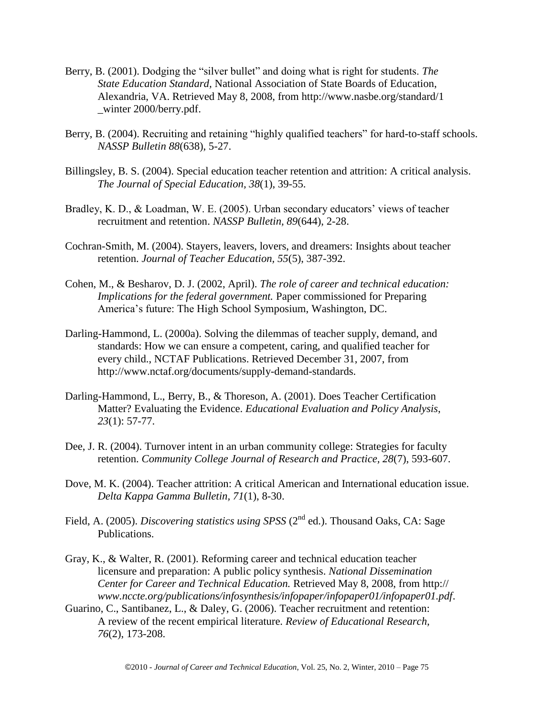- Berry, B. (2001). Dodging the "silver bullet" and doing what is right for students. *The State Education Standard,* National Association of State Boards of Education, Alexandria, VA. Retrieved May 8, 2008, from http://www.nasbe.org/standard/1 \_winter 2000/berry.pdf.
- Berry, B. (2004). Recruiting and retaining "highly qualified teachers" for hard-to-staff schools. *NASSP Bulletin 88*(638), 5-27.
- Billingsley, B. S. (2004). Special education teacher retention and attrition: A critical analysis. *The Journal of Special Education, 38*(1), 39-55.
- Bradley, K. D., & Loadman, W. E. (2005). Urban secondary educators' views of teacher recruitment and retention. *NASSP Bulletin, 89*(644), 2-28.
- Cochran-Smith, M. (2004). Stayers, leavers, lovers, and dreamers: Insights about teacher retention. *Journal of Teacher Education, 55*(5), 387-392.
- Cohen, M., & Besharov, D. J. (2002, April). *The role of career and technical education: Implications for the federal government.* Paper commissioned for Preparing America's future: The High School Symposium, Washington, DC.
- Darling-Hammond, L. (2000a). Solving the dilemmas of teacher supply, demand, and standards: How we can ensure a competent, caring, and qualified teacher for every child., NCTAF Publications. Retrieved December 31, 2007, from http://www.nctaf.org/documents/supply-demand-standards.
- Darling-Hammond, L., Berry, B., & Thoreson, A. (2001). Does Teacher Certification Matter? Evaluating the Evidence. *Educational Evaluation and Policy Analysis*, *23*(1): 57-77.
- Dee, J. R. (2004). Turnover intent in an urban community college: Strategies for faculty retention. *Community College Journal of Research and Practice, 28*(7), 593-607.
- Dove, M. K. (2004). Teacher attrition: A critical American and International education issue. *Delta Kappa Gamma Bulletin, 71*(1), 8-30.
- Field, A. (2005). *Discovering statistics using SPSS* (2<sup>nd</sup> ed.). Thousand Oaks, CA: Sage Publications.
- Gray, K., & Walter, R. (2001). Reforming career and technical education teacher licensure and preparation: A public policy synthesis. *National Dissemination Center for Career and Technical Education.* Retrieved May 8, 2008, from http:// *www.nccte.org/publications/infosynthesis/infopaper/infopaper01/infopaper01.pdf*.
- Guarino, C., Santibanez, L., & Daley, G. (2006). Teacher recruitment and retention: A review of the recent empirical literature. *Review of Educational Research, 76*(2), 173-208.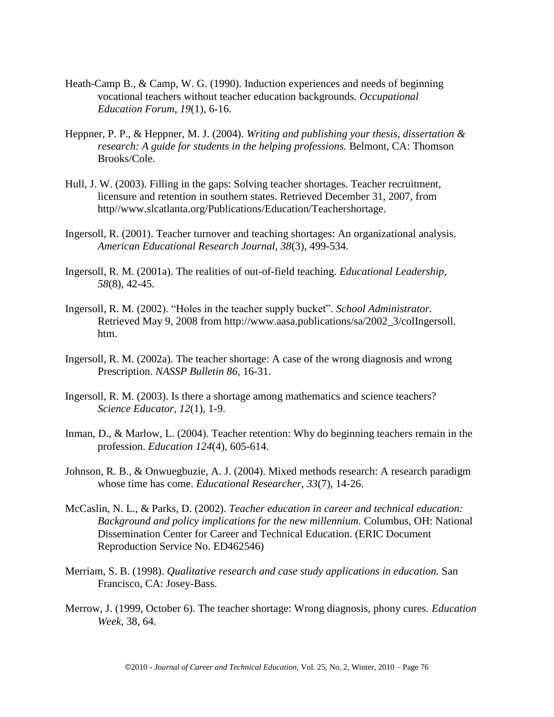- Heath-Camp B., & Camp, W. G. (1990). Induction experiences and needs of beginning vocational teachers without teacher education backgrounds. *Occupational Education Forum, 19*(1), 6-16.
- Heppner, P. P., & Heppner, M. J. (2004). *Writing and publishing your thesis, dissertation & research: A guide for students in the helping professions.* Belmont, CA: Thomson Brooks/Cole.
- Hull, J. W. (2003). Filling in the gaps: Solving teacher shortages. Teacher recruitment, licensure and retention in southern states. Retrieved December 31, 2007, from http//www.slcatlanta.org/Publications/Education/Teachershortage.
- Ingersoll, R. (2001). Teacher turnover and teaching shortages: An organizational analysis. *American Educational Research Journal, 38*(3), 499-534.
- Ingersoll, R. M. (2001a). The realities of out-of-field teaching. *Educational Leadership, 58*(8), 42-45.
- Ingersoll, R. M. (2002). "Holes in the teacher supply bucket". *School Administrator*. Retrieved May 9, 2008 from http://www.aasa.publications/sa/2002\_3/colIngersoll. htm.
- Ingersoll, R. M. (2002a). The teacher shortage: A case of the wrong diagnosis and wrong Prescription. *NASSP Bulletin 86,* 16-31.
- Ingersoll, R. M. (2003). Is there a shortage among mathematics and science teachers? *Science Educator, 12*(1), 1-9.
- Inman, D., & Marlow, L. (2004). Teacher retention: Why do beginning teachers remain in the profession. *Education 124*(4), 605-614.
- Johnson, R. B., & Onwuegbuzie, A. J. (2004). Mixed methods research: A research paradigm whose time has come. *Educational Researcher, 33*(7), 14-26.
- McCaslin, N. L., & Parks, D. (2002). *Teacher education in career and technical education: Background and policy implications for the new millennium.* Columbus, OH: National Dissemination Center for Career and Technical Education. (ERIC Document Reproduction Service No. ED462546)
- Merriam, S. B. (1998). *Qualitative research and case study applications in education.* San Francisco, CA: Josey-Bass.
- Merrow, J. (1999, October 6). The teacher shortage: Wrong diagnosis, phony cures. *Education Week,* 38, 64.